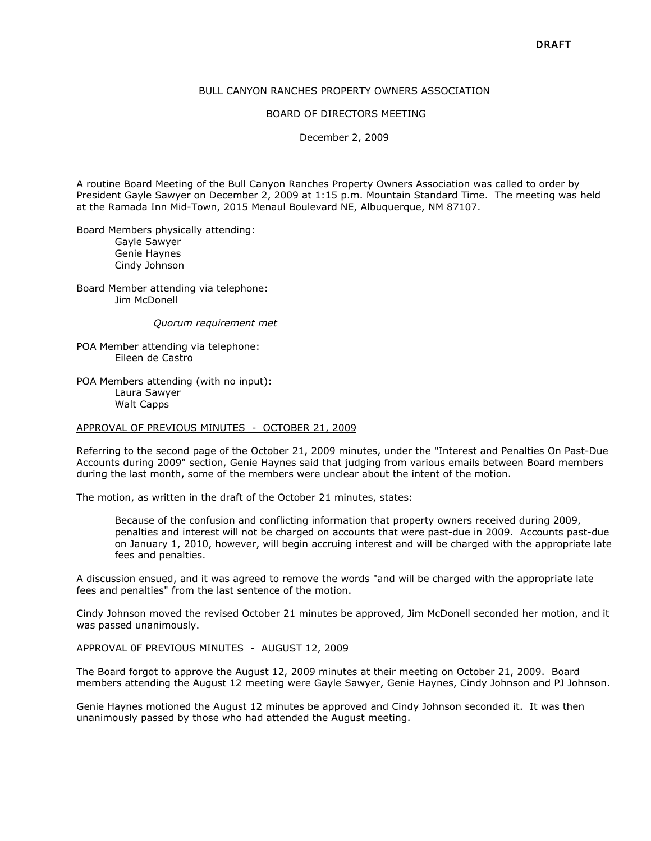# BULL CANYON RANCHES PROPERTY OWNERS ASSOCIATION

#### BOARD OF DIRECTORS MEETING

December 2, 2009

A routine Board Meeting of the Bull Canyon Ranches Property Owners Association was called to order by President Gayle Sawyer on December 2, 2009 at 1:15 p.m. Mountain Standard Time. The meeting was held at the Ramada Inn Mid-Town, 2015 Menaul Boulevard NE, Albuquerque, NM 87107.

Board Members physically attending: Gayle Sawyer Genie Haynes Cindy Johnson

Board Member attending via telephone: Jim McDonell

Quorum requirement met

POA Member attending via telephone: Eileen de Castro

POA Members attending (with no input): Laura Sawyer Walt Capps

#### APPROVAL OF PREVIOUS MINUTES - OCTOBER 21, 2009

Referring to the second page of the October 21, 2009 minutes, under the "Interest and Penalties On Past-Due Accounts during 2009" section, Genie Haynes said that judging from various emails between Board members during the last month, some of the members were unclear about the intent of the motion.

The motion, as written in the draft of the October 21 minutes, states:

Because of the confusion and conflicting information that property owners received during 2009, penalties and interest will not be charged on accounts that were past-due in 2009. Accounts past-due on January 1, 2010, however, will begin accruing interest and will be charged with the appropriate late fees and penalties.

A discussion ensued, and it was agreed to remove the words "and will be charged with the appropriate late fees and penalties" from the last sentence of the motion.

Cindy Johnson moved the revised October 21 minutes be approved, Jim McDonell seconded her motion, and it was passed unanimously.

#### APPROVAL 0F PREVIOUS MINUTES - AUGUST 12, 2009

The Board forgot to approve the August 12, 2009 minutes at their meeting on October 21, 2009. Board members attending the August 12 meeting were Gayle Sawyer, Genie Haynes, Cindy Johnson and PJ Johnson.

Genie Haynes motioned the August 12 minutes be approved and Cindy Johnson seconded it. It was then unanimously passed by those who had attended the August meeting.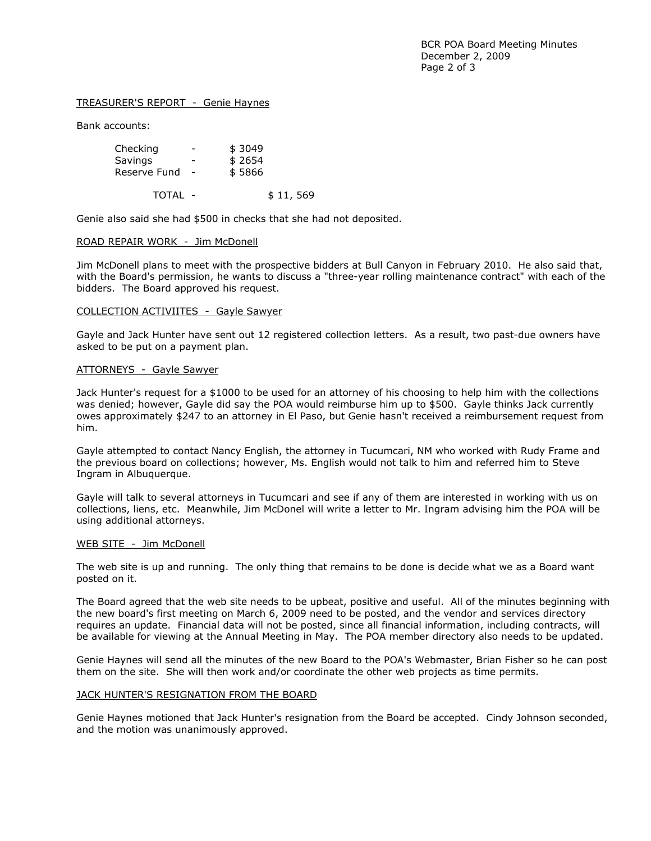# TREASURER'S REPORT - Genie Haynes

Bank accounts:

| Checking     | -                        | \$3049 |
|--------------|--------------------------|--------|
| Savings      | -                        | \$2654 |
| Reserve Fund | $\overline{\phantom{a}}$ | \$5866 |
|              |                          |        |

TOTAL - \$11,569

Genie also said she had \$500 in checks that she had not deposited.

## ROAD REPAIR WORK - Jim McDonell

Jim McDonell plans to meet with the prospective bidders at Bull Canyon in February 2010. He also said that, with the Board's permission, he wants to discuss a "three-year rolling maintenance contract" with each of the bidders. The Board approved his request.

## COLLECTION ACTIVIITES - Gayle Sawyer

Gayle and Jack Hunter have sent out 12 registered collection letters. As a result, two past-due owners have asked to be put on a payment plan.

# ATTORNEYS - Gayle Sawyer

Jack Hunter's request for a \$1000 to be used for an attorney of his choosing to help him with the collections was denied; however, Gayle did say the POA would reimburse him up to \$500. Gayle thinks Jack currently owes approximately \$247 to an attorney in El Paso, but Genie hasn't received a reimbursement request from him.

Gayle attempted to contact Nancy English, the attorney in Tucumcari, NM who worked with Rudy Frame and the previous board on collections; however, Ms. English would not talk to him and referred him to Steve Ingram in Albuquerque.

Gayle will talk to several attorneys in Tucumcari and see if any of them are interested in working with us on collections, liens, etc. Meanwhile, Jim McDonel will write a letter to Mr. Ingram advising him the POA will be using additional attorneys.

## WEB SITE - Jim McDonell

The web site is up and running. The only thing that remains to be done is decide what we as a Board want posted on it.

The Board agreed that the web site needs to be upbeat, positive and useful. All of the minutes beginning with the new board's first meeting on March 6, 2009 need to be posted, and the vendor and services directory requires an update. Financial data will not be posted, since all financial information, including contracts, will be available for viewing at the Annual Meeting in May. The POA member directory also needs to be updated.

Genie Haynes will send all the minutes of the new Board to the POA's Webmaster, Brian Fisher so he can post them on the site. She will then work and/or coordinate the other web projects as time permits.

# JACK HUNTER'S RESIGNATION FROM THE BOARD

Genie Haynes motioned that Jack Hunter's resignation from the Board be accepted. Cindy Johnson seconded, and the motion was unanimously approved.